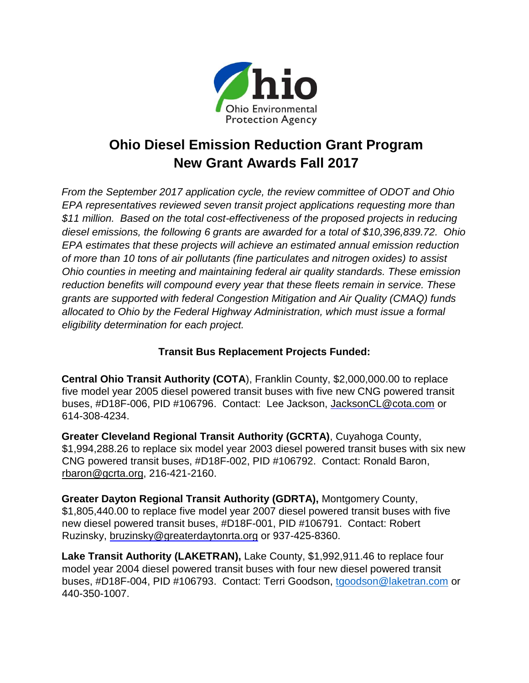

## **Ohio Diesel Emission Reduction Grant Program New Grant Awards Fall 2017**

*From the September 2017 application cycle, the review committee of ODOT and Ohio EPA representatives reviewed seven transit project applications requesting more than \$11 million. Based on the total cost-effectiveness of the proposed projects in reducing diesel emissions, the following 6 grants are awarded for a total of \$10,396,839.72. Ohio EPA estimates that these projects will achieve an estimated annual emission reduction of more than 10 tons of air pollutants (fine particulates and nitrogen oxides) to assist Ohio counties in meeting and maintaining federal air quality standards. These emission reduction benefits will compound every year that these fleets remain in service. These grants are supported with federal Congestion Mitigation and Air Quality (CMAQ) funds allocated to Ohio by the Federal Highway Administration, which must issue a formal eligibility determination for each project.* 

## **Transit Bus Replacement Projects Funded:**

**Central Ohio Transit Authority (COTA**), Franklin County, \$2,000,000.00 to replace five model year 2005 diesel powered transit buses with five new CNG powered transit buses, #D18F-006, PID #106796. Contact: Lee Jackson, JacksonCL@cota.com or 614-308-4234.

**Greater Cleveland Regional Transit Authority (GCRTA)**, Cuyahoga County, \$1,994,288.26 to replace six model year 2003 diesel powered transit buses with six new CNG powered transit buses, #D18F-002, PID #106792. Contact: Ronald Baron, [rbaron@gcrta.org,](mailto:rbaron@gcrta.org) 216-421-2160.

**Greater Dayton Regional Transit Authority (GDRTA),** Montgomery County, \$1,805,440.00 to replace five model year 2007 diesel powered transit buses with five new diesel powered transit buses, #D18F-001, PID #106791. Contact: Robert Ruzinsky, bruzinsky@greaterdaytonrta.org or 937-425-8360.

**Lake Transit Authority (LAKETRAN),** Lake County, \$1,992,911.46 to replace four model year 2004 diesel powered transit buses with four new diesel powered transit buses, #D18F-004, PID #106793. Contact: Terri Goodson, [tgoodson@laketran.com](mailto:tgoodson@laketran.com) or 440-350-1007.